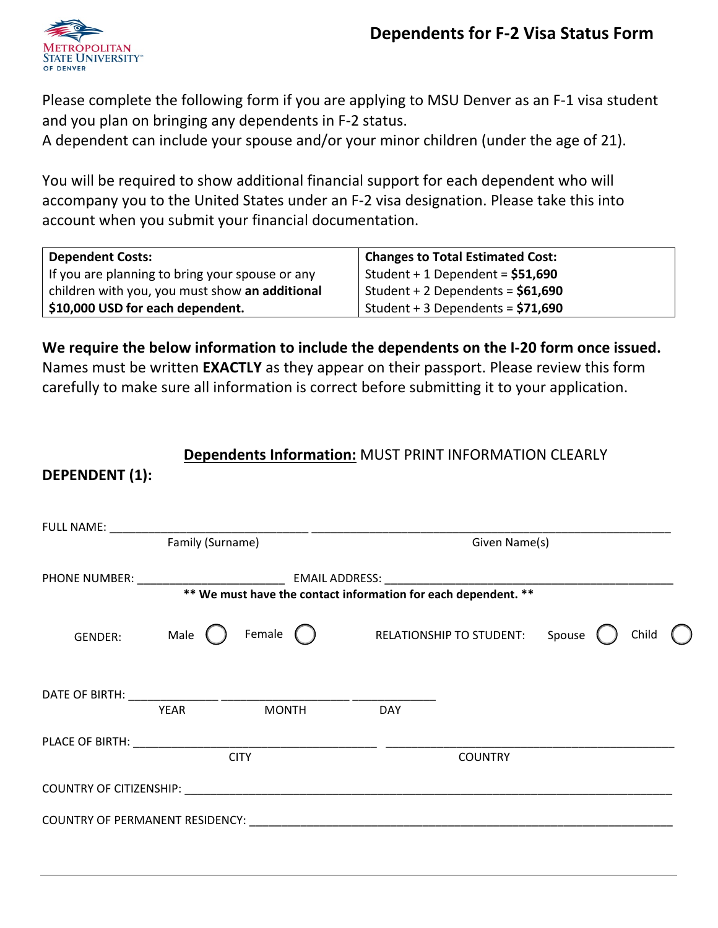

**DEPENDENT (1):** 

Please complete the following form if you are applying to MSU Denver as an F-1 visa student and you plan on bringing any dependents in F-2 status.

A dependent can include your spouse and/or your minor children (under the age of 21).

You will be required to show additional financial support for each dependent who will accompany you to the United States under an F-2 visa designation. Please take this into account when you submit your financial documentation.

| <b>Dependent Costs:</b>                         | <b>Changes to Total Estimated Cost:</b> |
|-------------------------------------------------|-----------------------------------------|
| If you are planning to bring your spouse or any | Student + 1 Dependent = $$51,690$       |
| children with you, you must show an additional  | Student + 2 Dependents = $$61,690$      |
| \$10,000 USD for each dependent.                | Student + 3 Dependents = $$71,690$      |

**We require the below information to include the dependents on the I-20 form once issued.**  Names must be written **EXACTLY** as they appear on their passport. Please review this form carefully to make sure all information is correct before submitting it to your application.

## **Dependents Information:** MUST PRINT INFORMATION CLEARLY

| Family (Surname) |             |                                                          | Given Name(s) |                                   |  |       |
|------------------|-------------|----------------------------------------------------------|---------------|-----------------------------------|--|-------|
|                  |             |                                                          |               |                                   |  |       |
| <b>GENDER:</b>   | Male (      | Female $\bigcirc$                                        |               | RELATIONSHIP TO STUDENT: Spouse ( |  | Child |
|                  | <b>YEAR</b> | <b>MONTH</b>                                             | <b>DAY</b>    |                                   |  |       |
|                  | <b>CITY</b> |                                                          |               | <b>COUNTRY</b>                    |  |       |
|                  |             | COUNTRY OF CITIZENSHIP: New York COUNTRY OF CITIZENSHIP: |               |                                   |  |       |
|                  |             |                                                          |               |                                   |  |       |